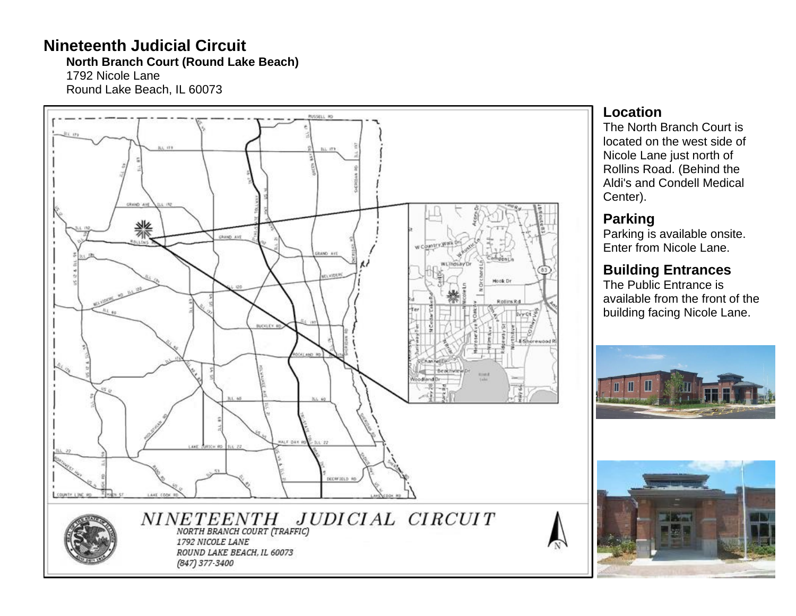# **Nineteenth Judicial Circuit**

**North Branch Court (Round Lake Beach )**

1792 Nicole Lane Round Lake Beach, IL 60073



#### **Location**

The North Branch Court is located on the west side of Nicole Lane just north of Rollins Road. (Behind the Aldi's and Condell Medical Center).

## **Parking**

Parking is available onsite. Enter from Nicole Lane.

# **Building Entrances**

The Public Entrance is available from the front of the building facing Nicole Lane .